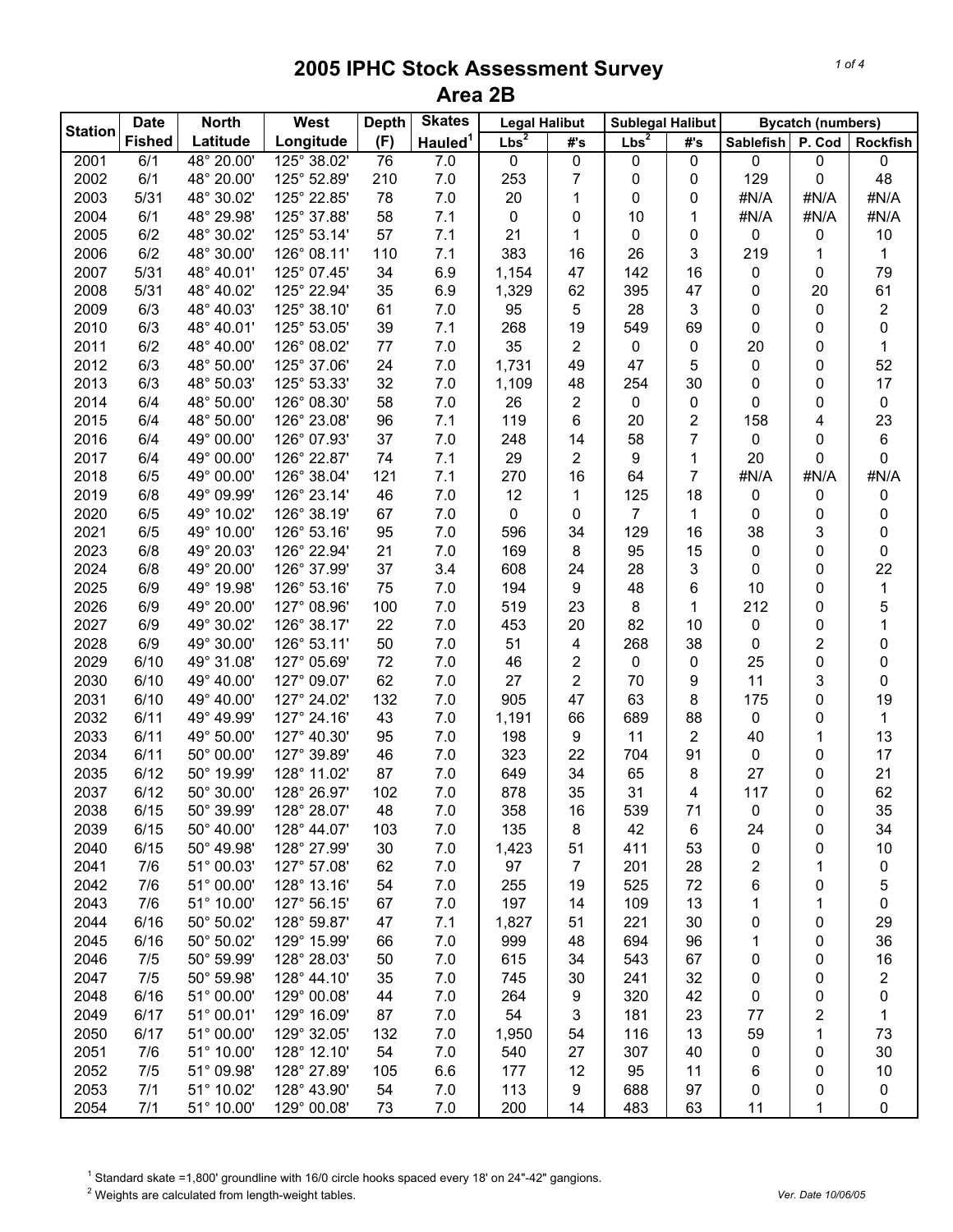|                | <b>Date</b>   | <b>North</b> | West        | <b>Depth</b> | <b>Skates</b>       | <b>Legal Halibut</b> |                | <b>Sublegal Halibut</b> |                |                  | <b>Bycatch (numbers)</b> |                 |
|----------------|---------------|--------------|-------------|--------------|---------------------|----------------------|----------------|-------------------------|----------------|------------------|--------------------------|-----------------|
| <b>Station</b> | <b>Fished</b> | Latitude     | Longitude   | (F)          | Hauled <sup>1</sup> | Lbs <sup>2</sup>     | #'s            | Lbs <sup>2</sup>        | #'s            | <b>Sablefish</b> | P. Cod                   | <b>Rockfish</b> |
| 2001           | 6/1           | 48° 20.00'   | 125° 38.02' | 76           | 7.0                 | 0                    | $\pmb{0}$      | 0                       | 0              | 0                | $\mathbf 0$              | 0               |
| 2002           | 6/1           | 48° 20.00'   | 125° 52.89' | 210          | 7.0                 | 253                  | 7              | 0                       | 0              | 129              | 0                        | 48              |
| 2003           | 5/31          | 48° 30.02'   | 125° 22.85' | 78           | 7.0                 | 20                   | 1              | 0                       | 0              | #N/A             | #N/A                     | #N/A            |
| 2004           | 6/1           | 48° 29.98'   | 125° 37.88' | 58           | 7.1                 | $\pmb{0}$            | 0              | 10                      | 1              | #N/A             | #N/A                     | #N/A            |
| 2005           | 6/2           | 48° 30.02'   | 125° 53.14' | 57           | 7.1                 | 21                   | 1              | 0                       | 0              | 0                | 0                        | 10              |
| 2006           | 6/2           | 48° 30.00'   | 126° 08.11' | 110          | 7.1                 | 383                  | 16             | 26                      | 3              | 219              | 1                        |                 |
| 2007           | 5/31          | 48° 40.01'   | 125° 07.45' | 34           | 6.9                 | 1,154                | 47             | 142                     | 16             | 0                | 0                        | 79              |
| 2008           | 5/31          | 48° 40.02'   | 125° 22.94' | 35           | 6.9                 | 1,329                | 62             | 395                     | 47             | 0                | 20                       | 61              |
| 2009           | 6/3           | 48° 40.03'   | 125° 38.10' | 61           | 7.0                 | 95                   | 5              | 28                      | 3              | 0                | 0                        | 2               |
| 2010           | 6/3           | 48° 40.01'   | 125° 53.05' | 39           | 7.1                 | 268                  | 19             | 549                     | 69             | 0                | 0                        | 0               |
| 2011           | 6/2           | 48° 40.00'   | 126° 08.02' | 77           | 7.0                 | 35                   | 2              | 0                       | 0              | 20               | 0                        | 1               |
| 2012           | 6/3           | 48° 50.00'   | 125° 37.06' | 24           | 7.0                 | 1,731                | 49             | 47                      | 5              | 0                | 0                        | 52              |
| 2013           | 6/3           | 48° 50.03'   | 125° 53.33' | 32           | 7.0                 | 1,109                | 48             | 254                     | 30             | 0                | 0                        | 17              |
| 2014           | 6/4           | 48° 50.00'   | 126° 08.30' | 58           | 7.0                 | 26                   | 2              | 0                       | 0              | 0                | 0                        | 0               |
| 2015           | 6/4           | 48° 50.00'   | 126° 23.08' | 96           | 7.1                 | 119                  | 6              | 20                      | $\overline{c}$ | 158              | 4                        | 23              |
| 2016           | 6/4           | 49° 00.00'   | 126° 07.93' | 37           | 7.0                 | 248                  | 14             | 58                      | 7              | 0                | 0                        | 6               |
| 2017           | 6/4           | 49° 00.00'   | 126° 22.87' | 74           | 7.1                 | 29                   | 2              | 9                       | 1              | 20               | 0                        | 0               |
| 2018           | 6/5           | 49° 00.00'   | 126° 38.04' | 121          | 7.1                 | 270                  | 16             | 64                      | 7              | #N/A             | #N/A                     | #N/A            |
| 2019           | 6/8           | 49° 09.99'   | 126° 23.14' | 46           | 7.0                 | 12                   | 1              | 125                     | 18             | 0                | 0                        | 0               |
| 2020           | 6/5           | 49° 10.02'   | 126° 38.19' | 67           | 7.0                 | $\pmb{0}$            | 0              | $\overline{7}$          | 1              | 0                | 0                        | 0               |
| 2021           | 6/5           | 49° 10.00'   | 126° 53.16' | 95           | 7.0                 | 596                  | 34             | 129                     | 16             | 38               | 3                        | 0               |
| 2023           | 6/8           | 49° 20.03'   | 126° 22.94' | 21           | 7.0                 | 169                  | 8              | 95                      | 15             | 0                | 0                        | 0               |
| 2024           | 6/8           | 49° 20.00'   | 126° 37.99' | 37           | 3.4                 | 608                  | 24             | 28                      | 3              | 0                | 0                        | 22              |
| 2025           | 6/9           | 49° 19.98'   | 126° 53.16' | 75           | 7.0                 | 194                  | 9              | 48                      | 6              | 10               | 0                        | 1               |
| 2026           | 6/9           | 49° 20.00'   | 127° 08.96' | 100          | 7.0                 | 519                  | 23             | 8                       | 1              | 212              | 0                        | 5               |
| 2027           | 6/9           | 49° 30.02'   | 126° 38.17' | 22           | 7.0                 | 453                  | 20             | 82                      | 10             | 0                | 0                        |                 |
| 2028           | 6/9           | 49° 30.00'   | 126° 53.11' | 50           | 7.0                 | 51                   | 4              | 268                     | 38             | 0                | 2                        | 0               |
| 2029           | 6/10          | 49° 31.08'   | 127° 05.69' | 72           | 7.0                 | 46                   | 2              | 0                       | 0              | 25               | 0                        | 0               |
| 2030           | 6/10          | 49° 40.00'   | 127° 09.07' | 62           | 7.0                 | 27                   | $\overline{2}$ | 70                      | 9              | 11               | 3                        | 0               |
| 2031           | 6/10          | 49° 40.00'   | 127° 24.02' | 132          | 7.0                 | 905                  | 47             | 63                      | 8              | 175              | 0                        | 19              |
| 2032           | 6/11          | 49° 49.99'   | 127° 24.16' | 43           | 7.0                 | 1,191                | 66             | 689                     | 88             | 0                | 0                        | 1               |
| 2033           | 6/11          | 49° 50.00'   | 127° 40.30' | 95           | 7.0                 | 198                  | 9              | 11                      | $\overline{2}$ | 40               | 1                        | 13              |
| 2034           | 6/11          | 50° 00.00'   | 127° 39.89' | 46           | 7.0                 | 323                  | 22             | 704                     | 91             | 0                | 0                        | 17              |
| 2035           | 6/12          | 50° 19.99'   | 128° 11.02' | 87           | 7.0                 | 649                  | 34             | 65                      | 8              | 27               | 0                        | 21              |
| 2037           | 6/12          | 50° 30.00'   | 128° 26.97' | 102          | $7.0$               | 878                  | 35             | 31                      | 4              | 117              | 0                        | 62              |
| 2038           | 6/15          | 50° 39.99'   | 128° 28.07' | 48           | 7.0                 | 358                  | 16             | 539                     | 71             | 0                | 0                        | 35              |
| 2039           | 6/15          | 50° 40.00'   | 128° 44.07' | 103          | 7.0                 | 135                  | 8              | 42                      | 6              | 24               | 0                        | 34              |
| 2040           | 6/15          | 50° 49.98'   | 128° 27.99' | 30           | 7.0                 | 1,423                | 51             | 411                     | 53             | 0                | 0                        | 10              |
| 2041           | 7/6           | 51° 00.03'   | 127° 57.08' | 62           | 7.0                 | 97                   | 7              | 201                     | 28             | 2                | 1                        | 0               |
| 2042           | 7/6           | 51° 00.00'   | 128° 13.16' | 54           | 7.0                 | 255                  | 19             | 525                     | 72             | 6                |                          | 5               |
| 2043           | 7/6           | 51° 10.00'   | 127° 56.15' | 67           | 7.0                 | 197                  | 14             | 109                     | 13             | 1                | 0<br>1                   | $\pmb{0}$       |
| 2044           | 6/16          | 50° 50.02'   | 128° 59.87' | 47           | 7.1                 | 1,827                | 51             | 221                     | 30             | 0                | 0                        | 29              |
| 2045           | 6/16          | 50° 50.02'   | 129° 15.99' |              | 7.0                 | 999                  | 48             | 694                     | 96             | 1                |                          | 36              |
|                |               |              |             | 66           |                     |                      |                |                         |                |                  | 0                        |                 |
| 2046           | 7/5           | 50° 59.99'   | 128° 28.03' | 50           | $7.0$               | 615                  | 34             | 543                     | 67             | 0                | 0                        | 16              |
| 2047           | 7/5           | 50° 59.98'   | 128° 44.10' | 35           | 7.0                 | 745                  | 30             | 241                     | 32             | 0                | 0                        | 2               |
| 2048           | 6/16          | 51° 00.00'   | 129° 00.08' | 44           | 7.0                 | 264                  | 9              | 320                     | 42             | 0                | 0                        | 0               |
| 2049           | 6/17          | 51° 00.01'   | 129° 16.09' | 87           | 7.0                 | 54                   | 3              | 181                     | 23             | 77               | 2                        | $\mathbf 1$     |
| 2050           | 6/17          | 51° 00.00'   | 129° 32.05' | 132          | 7.0                 | 1,950                | 54             | 116                     | 13             | 59               | 1                        | 73              |
| 2051           | 7/6           | 51° 10.00'   | 128° 12.10' | 54           | 7.0                 | 540                  | 27             | 307                     | 40             | 0                | 0                        | 30              |
| 2052           | 7/5           | 51° 09.98'   | 128° 27.89' | 105          | 6.6                 | 177                  | 12             | 95                      | 11             | 6                | 0                        | $10$            |
| 2053           | 7/1           | 51° 10.02'   | 128° 43.90' | 54           | 7.0                 | 113                  | 9              | 688                     | 97             | 0                | 0                        | 0               |
| 2054           | 7/1           | 51° 10.00'   | 129° 00.08' | 73           | 7.0                 | 200                  | 14             | 483                     | 63             | 11               | 1                        | 0               |

<sup>1</sup> Standard skate =1,800' groundline with 16/0 circle hooks spaced every 18' on 24"-42" gangions.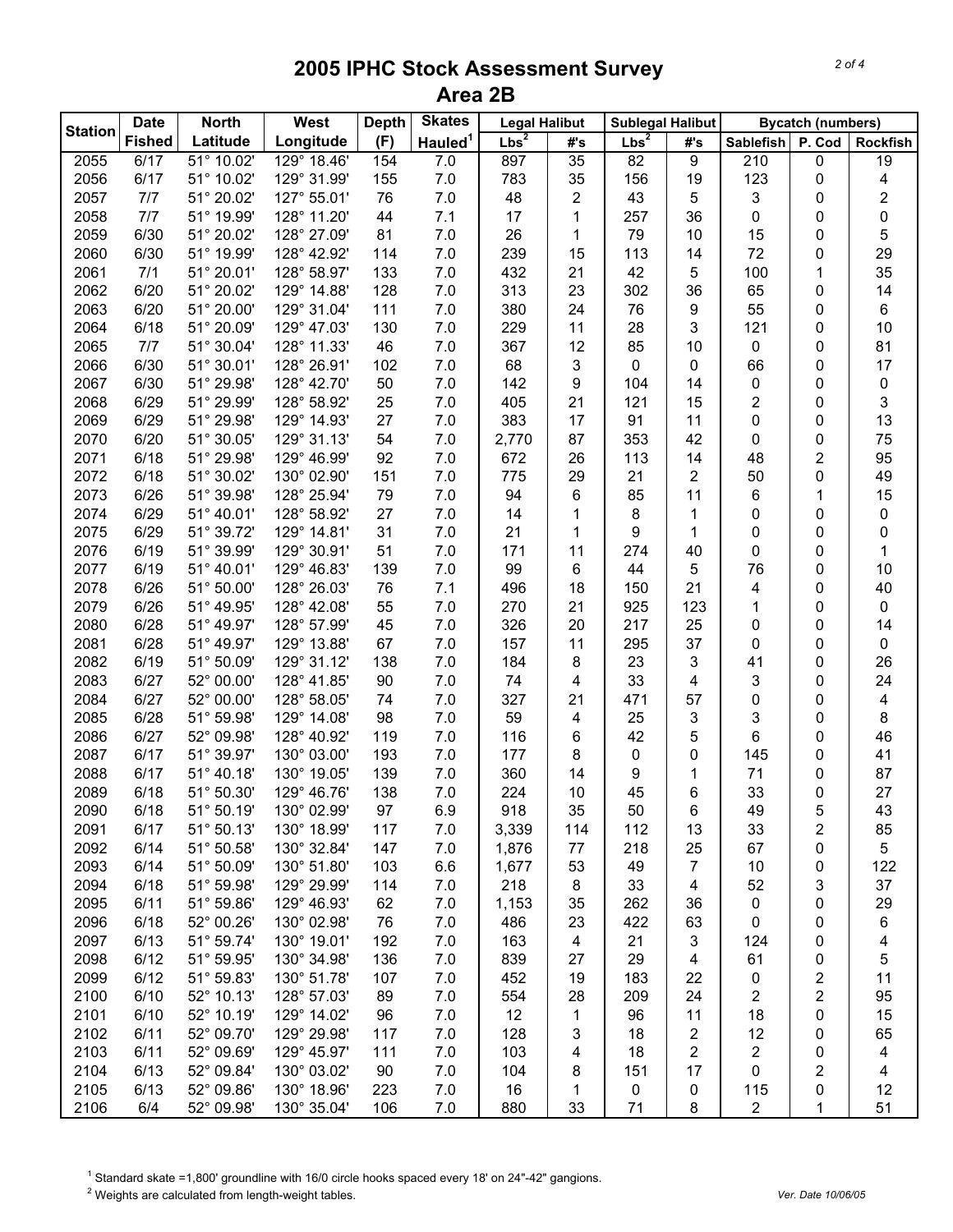|                | <b>Date</b>   | <b>North</b> | West        | <b>Depth</b> | <b>Skates</b>       | <b>Legal Halibut</b> |                | <b>Sublegal Halibut</b> |                |                  | <b>Bycatch (numbers)</b> |                         |
|----------------|---------------|--------------|-------------|--------------|---------------------|----------------------|----------------|-------------------------|----------------|------------------|--------------------------|-------------------------|
| <b>Station</b> | <b>Fished</b> | Latitude     | Longitude   | (F)          | Hauled <sup>1</sup> | Lbs <sup>2</sup>     | #'s            | Lbs <sup>2</sup>        | #'s            | Sablefish P. Cod |                          | <b>Rockfish</b>         |
| 2055           | 6/17          | 51° 10.02'   | 129° 18.46' | 154          | 7.0                 | 897                  | 35             | 82                      | 9              | 210              | $\mathbf 0$              | 19                      |
| 2056           | 6/17          | 51° 10.02'   | 129° 31.99' | 155          | 7.0                 | 783                  | 35             | 156                     | 19             | 123              | 0                        | 4                       |
| 2057           | 7/7           | 51° 20.02'   | 127° 55.01' | 76           | 7.0                 | 48                   | $\overline{2}$ | 43                      | 5              | 3                | 0                        | $\overline{\mathbf{c}}$ |
| 2058           | 7/7           | 51° 19.99'   | 128° 11.20' | 44           | 7.1                 | 17                   | 1              | 257                     | 36             | 0                | 0                        | 0                       |
| 2059           | 6/30          | 51° 20.02'   | 128° 27.09' | 81           | 7.0                 | 26                   | 1              | 79                      | 10             | 15               | 0                        | 5                       |
| 2060           | 6/30          | 51° 19.99'   | 128° 42.92' | 114          | 7.0                 | 239                  | 15             | 113                     | 14             | 72               | 0                        | 29                      |
| 2061           | 7/1           | 51° 20.01'   | 128° 58.97' | 133          | 7.0                 | 432                  | 21             | 42                      | 5              | 100              | 1                        | 35                      |
| 2062           | 6/20          | 51° 20.02'   | 129° 14.88' | 128          | 7.0                 | 313                  | 23             | 302                     | 36             | 65               | 0                        | 14                      |
| 2063           | 6/20          | 51° 20.00'   | 129° 31.04' | 111          | 7.0                 | 380                  | 24             | 76                      | 9              | 55               | 0                        | 6                       |
| 2064           | 6/18          | 51° 20.09'   | 129° 47.03' | 130          | 7.0                 | 229                  | 11             | 28                      | 3              | 121              | 0                        | 10                      |
| 2065           | 7/7           | 51° 30.04'   | 128° 11.33' | 46           | 7.0                 | 367                  | 12             | 85                      | 10             | 0                | 0                        | 81                      |
| 2066           | 6/30          | 51° 30.01'   | 128° 26.91' | 102          | 7.0                 | 68                   | 3              | 0                       | 0              | 66               | 0                        | 17                      |
| 2067           | 6/30          | 51° 29.98'   | 128° 42.70' | 50           | 7.0                 | 142                  | 9              | 104                     | 14             | 0                | 0                        | 0                       |
| 2068           | 6/29          | 51° 29.99'   | 128° 58.92' | 25           | 7.0                 | 405                  | 21             | 121                     | 15             | 2                | 0                        | 3                       |
| 2069           | 6/29          | 51° 29.98'   | 129° 14.93' | 27           | 7.0                 | 383                  | 17             | 91                      | 11             | 0                | 0                        | 13                      |
| 2070           | 6/20          | 51° 30.05'   | 129° 31.13' | 54           | 7.0                 | 2,770                | 87             | 353                     | 42             | 0                | 0                        | 75                      |
| 2071           | 6/18          | 51° 29.98'   | 129° 46.99' | 92           | 7.0                 | 672                  | 26             | 113                     | 14             | 48               | 2                        | 95                      |
| 2072           | 6/18          | 51° 30.02'   | 130° 02.90' | 151          | 7.0                 | 775                  | 29             | 21                      | $\overline{c}$ | 50               | 0                        | 49                      |
| 2073           | 6/26          | 51° 39.98'   | 128° 25.94' | 79           | 7.0                 | 94                   | 6              | 85                      | 11             | 6                | 1                        | 15                      |
| 2074           | 6/29          | 51° 40.01'   | 128° 58.92' | 27           | 7.0                 | 14                   | 1              | 8                       | 1              | 0                | 0                        | 0                       |
| 2075           | 6/29          | 51° 39.72'   | 129° 14.81' | 31           | 7.0                 | 21                   | 1              | 9                       | 1              | 0                | 0                        | 0                       |
| 2076           | 6/19          | 51° 39.99'   | 129° 30.91' | 51           | 7.0                 | 171                  | 11             | 274                     | 40             | 0                | 0                        | 1                       |
| 2077           | 6/19          | 51° 40.01'   | 129° 46.83' | 139          | 7.0                 | 99                   | 6              | 44                      | 5              | 76               | 0                        | 10                      |
| 2078           | 6/26          | 51° 50.00'   | 128° 26.03' | 76           | 7.1                 | 496                  | 18             | 150                     | 21             | 4                | 0                        | 40                      |
| 2079           | 6/26          | 51° 49.95'   | 128° 42.08' | 55           | 7.0                 | 270                  | 21             | 925                     | 123            | 1                | 0                        | 0                       |
| 2080           | 6/28          | 51° 49.97'   | 128° 57.99' | 45           | 7.0                 | 326                  | 20             | 217                     | 25             | 0                | 0                        | 14                      |
| 2081           | 6/28          | 51° 49.97'   | 129° 13.88' | 67           | 7.0                 | 157                  | 11             | 295                     | 37             | 0                | 0                        | $\pmb{0}$               |
| 2082           | 6/19          | 51° 50.09'   | 129° 31.12' | 138          | 7.0                 | 184                  | 8              | 23                      | 3              | 41               | 0                        | 26                      |
| 2083           | 6/27          | 52° 00.00'   | 128° 41.85' | 90           | 7.0                 | 74                   | 4              | 33                      | 4              | 3                | 0                        | 24                      |
| 2084           | 6/27          | 52° 00.00'   | 128° 58.05' | 74           | 7.0                 | 327                  | 21             | 471                     | 57             | 0                | 0                        | 4                       |
| 2085           | 6/28          | 51° 59.98'   | 129° 14.08' | 98           | 7.0                 | 59                   | 4              | 25                      | 3              | 3                | 0                        | 8                       |
| 2086           | 6/27          | 52° 09.98'   | 128° 40.92' | 119          | 7.0                 | 116                  | 6              | 42                      | 5              | 6                | 0                        | 46                      |
| 2087           | 6/17          | 51° 39.97'   | 130° 03.00' | 193          | 7.0                 | 177                  | 8              | 0                       | 0              | 145              | 0                        | 41                      |
| 2088           | 6/17          | 51° 40.18'   | 130° 19.05' | 139          | 7.0                 | 360                  | 14             | 9                       | 1              | 71               | 0                        | 87                      |
| 2089           | 6/18          | 51° 50.30'   | 129° 46.76' | 138          | 7.0                 | 224                  | 10             | 45                      | 6              | 33               | 0                        | 27                      |
| 2090           | 6/18          | 51° 50.19'   | 130° 02.99' | 97           | 6.9                 | 918                  | 35             | 50                      | 6              | 49               | 5                        | 43                      |
| 2091           | 6/17          | 51° 50.13'   | 130° 18.99' | 117          | 7.0                 | 3,339                | 114            | 112                     | 13             | 33               | 2                        | 85                      |
| 2092           | 6/14          | 51° 50.58'   | 130° 32.84' | 147          | 7.0                 | 1,876                | 77             | 218                     | 25             | 67               | 0                        | 5                       |
| 2093           | 6/14          | 51° 50.09'   | 130° 51.80' | 103          | 6.6                 | 1,677                | 53             | 49                      | $\overline{7}$ | 10               | 0                        | 122                     |
| 2094           | 6/18          | 51° 59.98'   | 129° 29.99' | 114          | 7.0                 | 218                  | 8              | 33                      | 4              | 52               | 3                        | 37                      |
| 2095           | 6/11          | 51° 59.86'   | 129° 46.93' | 62           | 7.0                 | 1,153                | 35             | 262                     | 36             | 0                | 0                        | 29                      |
| 2096           | 6/18          | 52° 00.26'   | 130° 02.98' | 76           | $7.0$               | 486                  | 23             | 422                     | 63             | 0                | 0                        | 6                       |
| 2097           | 6/13          | 51° 59.74'   | 130° 19.01' | 192          | $7.0$               | 163                  | $\overline{4}$ | 21                      | 3              | 124              | 0                        | 4                       |
| 2098           | 6/12          | 51° 59.95'   | 130° 34.98' | 136          | $7.0$               | 839                  | 27             | 29                      | $\overline{4}$ | 61               | 0                        | 5                       |
| 2099           | 6/12          | 51° 59.83'   | 130° 51.78' | 107          | $7.0$               | 452                  | 19             | 183                     | 22             | 0                | $\overline{\mathbf{c}}$  | 11                      |
| 2100           | 6/10          | 52° 10.13'   | 128° 57.03' | 89           | $7.0$               | 554                  | 28             | 209                     | 24             | 2                | $\overline{\mathbf{c}}$  | 95                      |
| 2101           | 6/10          | 52° 10.19'   | 129° 14.02' | 96           | $7.0$               | 12                   | 1              | 96                      | 11             | 18               | 0                        | 15                      |
| 2102           | 6/11          | 52° 09.70'   | 129° 29.98' | 117          | 7.0                 | 128                  | 3              | 18                      | $\overline{2}$ | 12               | 0                        | 65                      |
| 2103           | 6/11          | 52° 09.69'   | 129° 45.97' | 111          | 7.0                 | 103                  | 4              | 18                      | $\overline{2}$ | $\overline{c}$   | 0                        | 4                       |
| 2104           | 6/13          | 52° 09.84'   | 130° 03.02' | 90           | $7.0$               | 104                  | 8              | 151                     | 17             | 0                | 2                        | 4                       |
| 2105           | 6/13          | 52° 09.86'   | 130° 18.96' | 223          | 7.0                 | 16                   | 1              | 0                       | $\pmb{0}$      | 115              | 0                        | 12                      |
| 2106           | 6/4           | 52° 09.98'   | 130° 35.04' | 106          | 7.0                 | 880                  | 33             | 71                      | 8              | $\boldsymbol{2}$ | 1                        | 51                      |

<sup>1</sup> Standard skate =1,800' groundline with 16/0 circle hooks spaced every 18' on 24"-42" gangions.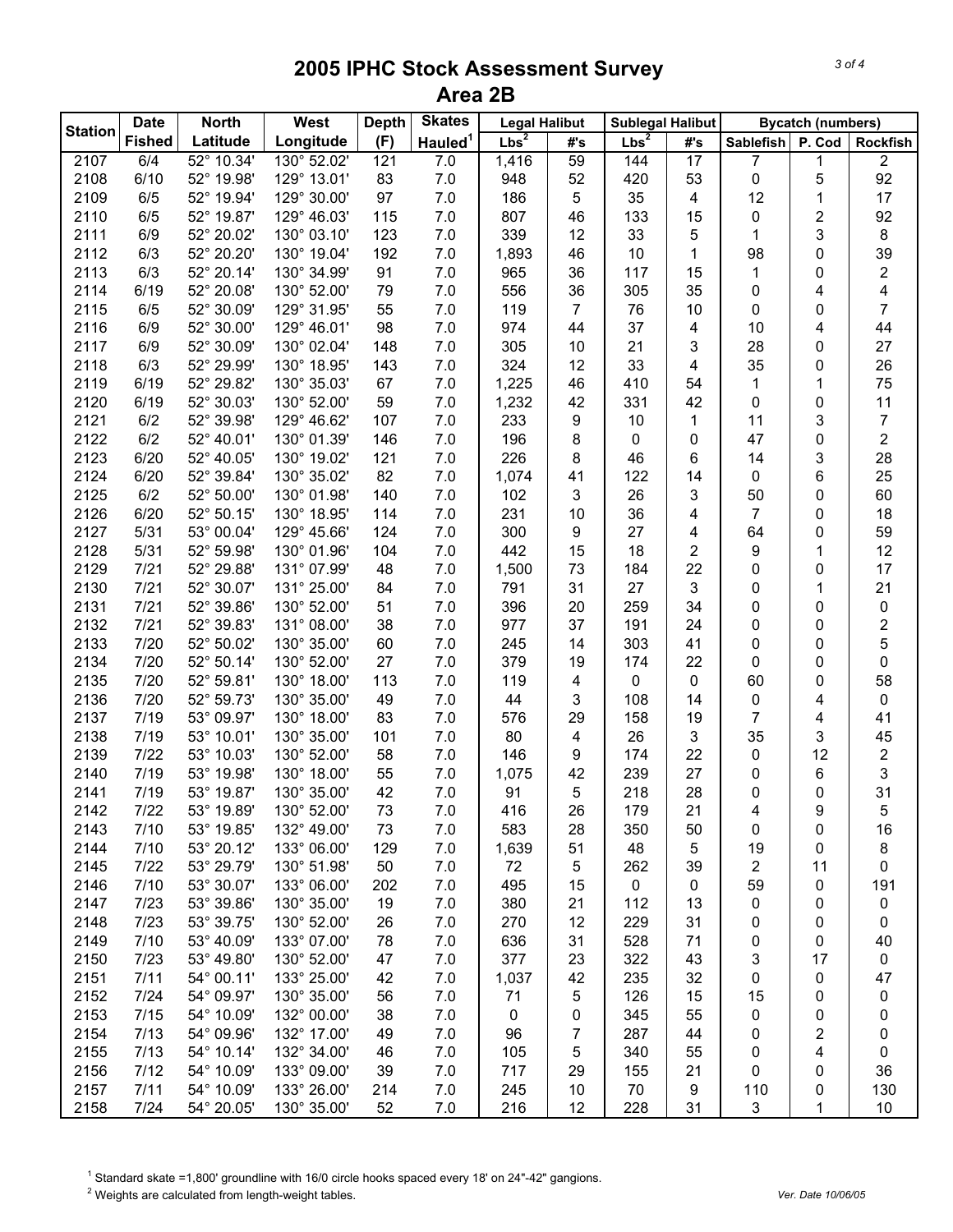| <b>Fished</b><br>Latitude<br>Longitude<br>(F)<br>Hauled <sup>1</sup><br>Lbs <sup>2</sup><br>Lbs <sup>2</sup><br>#'s<br>P. Cod<br>#'s<br><b>Sablefish</b><br><b>Rockfish</b><br>52° 10.34'<br>130° 52.02'<br>59<br>$\sqrt{2}$<br>2107<br>6/4<br>121<br>7.0<br>1,416<br>144<br>17<br>7<br>1<br>92<br>6/10<br>52° 19.98'<br>129° 13.01'<br>83<br>5<br>2108<br>7.0<br>948<br>52<br>420<br>53<br>0<br>2109<br>52° 19.94'<br>129° 30.00'<br>97<br>186<br>35<br>12<br>17<br>6/5<br>7.0<br>5<br>4<br>1<br>$\overline{2}$<br>129° 46.03'<br>115<br>46<br>133<br>92<br>2110<br>6/5<br>52° 19.87'<br>7.0<br>807<br>15<br>0<br>52° 20.02'<br>130° 03.10'<br>123<br>339<br>33<br>5<br>3<br>8<br>2111<br>6/9<br>7.0<br>12<br>1<br>52° 20.20'<br>130° 19.04'<br>192<br>1,893<br>10<br>39<br>2112<br>6/3<br>7.0<br>46<br>1<br>98<br>0<br>52° 20.14'<br>91<br>7.0<br>117<br>2<br>2113<br>6/3<br>130° 34.99'<br>965<br>36<br>15<br>0<br>1<br>52° 20.08'<br>130° 52.00'<br>79<br>556<br>305<br>35<br>4<br>2114<br>6/19<br>7.0<br>36<br>0<br>4<br>52° 30.09'<br>55<br>7<br>2115<br>6/5<br>129° 31.95'<br>7.0<br>119<br>7<br>76<br>10<br>0<br>0<br>52° 30.00'<br>129° 46.01'<br>98<br>7.0<br>37<br>44<br>2116<br>6/9<br>974<br>44<br>4<br>10<br>4<br>3<br>27<br>2117<br>6/9<br>52° 30.09'<br>130° 02.04'<br>148<br>7.0<br>305<br>10<br>21<br>28<br>0<br>324<br>33<br>26<br>2118<br>6/3<br>52° 29.99'<br>130° 18.95'<br>143<br>7.0<br>12<br>35<br>0<br>4<br>410<br>2119<br>6/19<br>52° 29.82'<br>130° 35.03'<br>67<br>7.0<br>1,225<br>46<br>75<br>54<br>1<br>1<br>59<br>331<br>11<br>2120<br>6/19<br>52° 30.03'<br>130° 52.00'<br>7.0<br>1,232<br>42<br>42<br>0<br>0<br>107<br>3<br>2121<br>6/2<br>52° 39.98'<br>129° 46.62'<br>7.0<br>233<br>9<br>10<br>$\overline{7}$<br>1<br>11<br>146<br>196<br>$\overline{2}$<br>2122<br>6/2<br>52° 40.01'<br>130° 01.39'<br>7.0<br>8<br>0<br>0<br>47<br>0<br>28<br>2123<br>226<br>8<br>3<br>6/20<br>52° 40.05'<br>130° 19.02'<br>121<br>7.0<br>46<br>6<br>14<br>25<br>82<br>1,074<br>122<br>6<br>2124<br>6/20<br>52° 39.84'<br>130° 35.02'<br>7.0<br>41<br>14<br>0<br>60<br>2125<br>130° 01.98'<br>140<br>7.0<br>3<br>26<br>3<br>6/2<br>52° 50.00'<br>102<br>50<br>0<br>2126<br>114<br>231<br>36<br>7<br>18<br>6/20<br>52° 50.15'<br>130° 18.95'<br>7.0<br>10<br>4<br>0<br>59<br>2127<br>53° 00.04'<br>124<br>300<br>27<br>5/31<br>129° 45.66'<br>7.0<br>9<br>64<br>0<br>4<br>12<br>2128<br>104<br>7.0<br>442<br>15<br>18<br>2<br>5/31<br>52° 59.98'<br>130° 01.96'<br>9<br>1<br>2129<br>131° 07.99'<br>48<br>1,500<br>184<br>22<br>17<br>7/21<br>52° 29.88'<br>7.0<br>73<br>0<br>0<br>2130<br>$7/21$<br>52° 30.07'<br>131° 25.00'<br>27<br>3<br>21<br>84<br>7.0<br>791<br>31<br>0<br>1<br>2131<br>$7/21$<br>52° 39.86'<br>130° 52.00'<br>51<br>396<br>259<br>34<br>$\pmb{0}$<br>7.0<br>20<br>0<br>0<br>2<br>2132<br>$7/21$<br>52° 39.83'<br>131° 08.00'<br>38<br>977<br>191<br>7.0<br>37<br>24<br>0<br>0<br>5<br>2133<br>52° 50.02'<br>130° 35.00'<br>60<br>245<br>303<br>7/20<br>7.0<br>14<br>41<br>0<br>0<br>2134<br>52° 50.14'<br>130° 52.00'<br>27<br>7.0<br>379<br>19<br>174<br>22<br>0<br>7/20<br>0<br>0<br>58<br>2135<br>52° 59.81'<br>130° 18.00'<br>113<br>7.0<br>119<br>60<br>7/20<br>4<br>0<br>0<br>0<br>2136<br>52° 59.73'<br>130° 35.00'<br>49<br>7.0<br>44<br>3<br>108<br>0<br>7/20<br>0<br>14<br>4<br>7<br>2137<br>53° 09.97'<br>130° 18.00'<br>83<br>7.0<br>576<br>29<br>158<br>19<br>41<br>7/19<br>4<br>2138<br>53° 10.01'<br>130° 35.00'<br>101<br>7.0<br>80<br>26<br>3<br>35<br>3<br>45<br>7/19<br>4<br>2139<br>53° 10.03'<br>130° 52.00'<br>58<br>7.0<br>146<br>174<br>22<br>12<br>$\boldsymbol{2}$<br>7/22<br>9<br>0<br>3<br>7/19<br>53° 19.98'<br>130° 18.00'<br>55<br>7.0<br>1,075<br>42<br>239<br>27<br>6<br>2140<br>0<br>31<br>42<br>7.0<br>5<br>218<br>28<br>2141<br>7/19<br>53° 19.87'<br>130° 35.00'<br>91<br>0<br>0<br>7.0<br>26<br>21<br>7/22<br>53° 19.89'<br>73<br>416<br>179<br>2142<br>130° 52.00'<br>9<br>4<br>5<br>583<br>28<br>16<br>2143<br>7/10<br>53° 19.85'<br>132° 49.00'<br>73<br>7.0<br>350<br>50<br>0<br>0<br>53° 20.12'<br>8<br>2144<br>7/10<br>133° 06.00'<br>129<br>7.0<br>1,639<br>51<br>48<br>5<br>19<br>0<br>53° 29.79'<br>50<br>2145<br>7/22<br>130° 51.98'<br>7.0<br>72<br>5<br>262<br>39<br>2<br>11<br>0<br>53° 30.07'<br>7.0<br>2146<br>7/10<br>133° 06.00'<br>202<br>495<br>15<br>0<br>59<br>0<br>191<br>0<br>53° 39.86'<br>130° 35.00'<br>19<br>7.0<br>380<br>112<br>2147<br>7/23<br>21<br>0<br>13<br>0<br>0<br>53° 39.75'<br>130° 52.00'<br>7.0<br>270<br>12<br>2148<br>7/23<br>26<br>229<br>31<br>0<br>0<br>0<br>53° 40.09'<br>133° 07.00'<br>78<br>636<br>31<br>2149<br>7/10<br>7.0<br>528<br>71<br>0<br>40<br>0<br>377<br>2150<br>53° 49.80'<br>130° 52.00'<br>23<br>3<br>7/23<br>47<br>7.0<br>322<br>43<br>17<br>0<br>47<br>54° 00.11'<br>133° 25.00'<br>2151<br>7/11<br>42<br>7.0<br>1,037<br>42<br>235<br>32<br>0<br>0<br>2152<br>54° 09.97'<br>130° 35.00'<br>7/24<br>56<br>7.0<br>71<br>5<br>126<br>15<br>15<br>0<br>0<br>2153<br>54° 10.09'<br>132° 00.00'<br>$\pmb{0}$<br>7/15<br>38<br>7.0<br>0<br>345<br>55<br>0<br>0<br>0<br>54° 09.96'<br>2<br>2154<br>7/13<br>132° 17.00'<br>49<br>7.0<br>96<br>7<br>287<br>44<br>0<br>0<br>54° 10.14'<br>4<br>2155<br>7/13<br>132° 34.00'<br>46<br>7.0<br>105<br>5<br>340<br>55<br>0<br>0<br>54° 10.09'<br>133° 09.00'<br>21<br>36<br>2156<br>7/12<br>39<br>7.0<br>717<br>29<br>155<br>0<br>0<br>54° 10.09'<br>133° 26.00'<br>130<br>2157<br>7/11<br>214<br>7.0<br>245<br>10<br>70<br>9<br>110<br>0 |                | <b>Date</b> | <b>North</b> | <b>West</b> | <b>Depth</b> | <b>Skates</b> | <b>Legal Halibut</b> |  | <b>Sublegal Halibut</b> |  |  | <b>Bycatch (numbers)</b> |  |
|--------------------------------------------------------------------------------------------------------------------------------------------------------------------------------------------------------------------------------------------------------------------------------------------------------------------------------------------------------------------------------------------------------------------------------------------------------------------------------------------------------------------------------------------------------------------------------------------------------------------------------------------------------------------------------------------------------------------------------------------------------------------------------------------------------------------------------------------------------------------------------------------------------------------------------------------------------------------------------------------------------------------------------------------------------------------------------------------------------------------------------------------------------------------------------------------------------------------------------------------------------------------------------------------------------------------------------------------------------------------------------------------------------------------------------------------------------------------------------------------------------------------------------------------------------------------------------------------------------------------------------------------------------------------------------------------------------------------------------------------------------------------------------------------------------------------------------------------------------------------------------------------------------------------------------------------------------------------------------------------------------------------------------------------------------------------------------------------------------------------------------------------------------------------------------------------------------------------------------------------------------------------------------------------------------------------------------------------------------------------------------------------------------------------------------------------------------------------------------------------------------------------------------------------------------------------------------------------------------------------------------------------------------------------------------------------------------------------------------------------------------------------------------------------------------------------------------------------------------------------------------------------------------------------------------------------------------------------------------------------------------------------------------------------------------------------------------------------------------------------------------------------------------------------------------------------------------------------------------------------------------------------------------------------------------------------------------------------------------------------------------------------------------------------------------------------------------------------------------------------------------------------------------------------------------------------------------------------------------------------------------------------------------------------------------------------------------------------------------------------------------------------------------------------------------------------------------------------------------------------------------------------------------------------------------------------------------------------------------------------------------------------------------------------------------------------------------------------------------------------------------------------------------------------------------------------------------------------------------------------------------------------------------------------------------------------------------------------------------------------------------------------------------------------------------------------------------------------------------------------------------------------------------------------------------------------------------------------------------------------------------------------------------------------------------------------------------------------------------------------------------------------------------------------------------------------------------------------------------------------------------------------------------------------------------------------------------------------------------------------------------------------------------------------------------------------------------------------------------------------------------------------------------------------------------------------------------------------------------------------------------------------------------------------------------------------------------------------------------------------------------------------------------------------------------------------------------------------------------------------------------------------------------|----------------|-------------|--------------|-------------|--------------|---------------|----------------------|--|-------------------------|--|--|--------------------------|--|
|                                                                                                                                                                                                                                                                                                                                                                                                                                                                                                                                                                                                                                                                                                                                                                                                                                                                                                                                                                                                                                                                                                                                                                                                                                                                                                                                                                                                                                                                                                                                                                                                                                                                                                                                                                                                                                                                                                                                                                                                                                                                                                                                                                                                                                                                                                                                                                                                                                                                                                                                                                                                                                                                                                                                                                                                                                                                                                                                                                                                                                                                                                                                                                                                                                                                                                                                                                                                                                                                                                                                                                                                                                                                                                                                                                                                                                                                                                                                                                                                                                                                                                                                                                                                                                                                                                                                                                                                                                                                                                                                                                                                                                                                                                                                                                                                                                                                                                                                                                                                                                                                                                                                                                                                                                                                                                                                                                                                                                                                                                                                | <b>Station</b> |             |              |             |              |               |                      |  |                         |  |  |                          |  |
|                                                                                                                                                                                                                                                                                                                                                                                                                                                                                                                                                                                                                                                                                                                                                                                                                                                                                                                                                                                                                                                                                                                                                                                                                                                                                                                                                                                                                                                                                                                                                                                                                                                                                                                                                                                                                                                                                                                                                                                                                                                                                                                                                                                                                                                                                                                                                                                                                                                                                                                                                                                                                                                                                                                                                                                                                                                                                                                                                                                                                                                                                                                                                                                                                                                                                                                                                                                                                                                                                                                                                                                                                                                                                                                                                                                                                                                                                                                                                                                                                                                                                                                                                                                                                                                                                                                                                                                                                                                                                                                                                                                                                                                                                                                                                                                                                                                                                                                                                                                                                                                                                                                                                                                                                                                                                                                                                                                                                                                                                                                                |                |             |              |             |              |               |                      |  |                         |  |  |                          |  |
|                                                                                                                                                                                                                                                                                                                                                                                                                                                                                                                                                                                                                                                                                                                                                                                                                                                                                                                                                                                                                                                                                                                                                                                                                                                                                                                                                                                                                                                                                                                                                                                                                                                                                                                                                                                                                                                                                                                                                                                                                                                                                                                                                                                                                                                                                                                                                                                                                                                                                                                                                                                                                                                                                                                                                                                                                                                                                                                                                                                                                                                                                                                                                                                                                                                                                                                                                                                                                                                                                                                                                                                                                                                                                                                                                                                                                                                                                                                                                                                                                                                                                                                                                                                                                                                                                                                                                                                                                                                                                                                                                                                                                                                                                                                                                                                                                                                                                                                                                                                                                                                                                                                                                                                                                                                                                                                                                                                                                                                                                                                                |                |             |              |             |              |               |                      |  |                         |  |  |                          |  |
|                                                                                                                                                                                                                                                                                                                                                                                                                                                                                                                                                                                                                                                                                                                                                                                                                                                                                                                                                                                                                                                                                                                                                                                                                                                                                                                                                                                                                                                                                                                                                                                                                                                                                                                                                                                                                                                                                                                                                                                                                                                                                                                                                                                                                                                                                                                                                                                                                                                                                                                                                                                                                                                                                                                                                                                                                                                                                                                                                                                                                                                                                                                                                                                                                                                                                                                                                                                                                                                                                                                                                                                                                                                                                                                                                                                                                                                                                                                                                                                                                                                                                                                                                                                                                                                                                                                                                                                                                                                                                                                                                                                                                                                                                                                                                                                                                                                                                                                                                                                                                                                                                                                                                                                                                                                                                                                                                                                                                                                                                                                                |                |             |              |             |              |               |                      |  |                         |  |  |                          |  |
|                                                                                                                                                                                                                                                                                                                                                                                                                                                                                                                                                                                                                                                                                                                                                                                                                                                                                                                                                                                                                                                                                                                                                                                                                                                                                                                                                                                                                                                                                                                                                                                                                                                                                                                                                                                                                                                                                                                                                                                                                                                                                                                                                                                                                                                                                                                                                                                                                                                                                                                                                                                                                                                                                                                                                                                                                                                                                                                                                                                                                                                                                                                                                                                                                                                                                                                                                                                                                                                                                                                                                                                                                                                                                                                                                                                                                                                                                                                                                                                                                                                                                                                                                                                                                                                                                                                                                                                                                                                                                                                                                                                                                                                                                                                                                                                                                                                                                                                                                                                                                                                                                                                                                                                                                                                                                                                                                                                                                                                                                                                                |                |             |              |             |              |               |                      |  |                         |  |  |                          |  |
|                                                                                                                                                                                                                                                                                                                                                                                                                                                                                                                                                                                                                                                                                                                                                                                                                                                                                                                                                                                                                                                                                                                                                                                                                                                                                                                                                                                                                                                                                                                                                                                                                                                                                                                                                                                                                                                                                                                                                                                                                                                                                                                                                                                                                                                                                                                                                                                                                                                                                                                                                                                                                                                                                                                                                                                                                                                                                                                                                                                                                                                                                                                                                                                                                                                                                                                                                                                                                                                                                                                                                                                                                                                                                                                                                                                                                                                                                                                                                                                                                                                                                                                                                                                                                                                                                                                                                                                                                                                                                                                                                                                                                                                                                                                                                                                                                                                                                                                                                                                                                                                                                                                                                                                                                                                                                                                                                                                                                                                                                                                                |                |             |              |             |              |               |                      |  |                         |  |  |                          |  |
|                                                                                                                                                                                                                                                                                                                                                                                                                                                                                                                                                                                                                                                                                                                                                                                                                                                                                                                                                                                                                                                                                                                                                                                                                                                                                                                                                                                                                                                                                                                                                                                                                                                                                                                                                                                                                                                                                                                                                                                                                                                                                                                                                                                                                                                                                                                                                                                                                                                                                                                                                                                                                                                                                                                                                                                                                                                                                                                                                                                                                                                                                                                                                                                                                                                                                                                                                                                                                                                                                                                                                                                                                                                                                                                                                                                                                                                                                                                                                                                                                                                                                                                                                                                                                                                                                                                                                                                                                                                                                                                                                                                                                                                                                                                                                                                                                                                                                                                                                                                                                                                                                                                                                                                                                                                                                                                                                                                                                                                                                                                                |                |             |              |             |              |               |                      |  |                         |  |  |                          |  |
|                                                                                                                                                                                                                                                                                                                                                                                                                                                                                                                                                                                                                                                                                                                                                                                                                                                                                                                                                                                                                                                                                                                                                                                                                                                                                                                                                                                                                                                                                                                                                                                                                                                                                                                                                                                                                                                                                                                                                                                                                                                                                                                                                                                                                                                                                                                                                                                                                                                                                                                                                                                                                                                                                                                                                                                                                                                                                                                                                                                                                                                                                                                                                                                                                                                                                                                                                                                                                                                                                                                                                                                                                                                                                                                                                                                                                                                                                                                                                                                                                                                                                                                                                                                                                                                                                                                                                                                                                                                                                                                                                                                                                                                                                                                                                                                                                                                                                                                                                                                                                                                                                                                                                                                                                                                                                                                                                                                                                                                                                                                                |                |             |              |             |              |               |                      |  |                         |  |  |                          |  |
|                                                                                                                                                                                                                                                                                                                                                                                                                                                                                                                                                                                                                                                                                                                                                                                                                                                                                                                                                                                                                                                                                                                                                                                                                                                                                                                                                                                                                                                                                                                                                                                                                                                                                                                                                                                                                                                                                                                                                                                                                                                                                                                                                                                                                                                                                                                                                                                                                                                                                                                                                                                                                                                                                                                                                                                                                                                                                                                                                                                                                                                                                                                                                                                                                                                                                                                                                                                                                                                                                                                                                                                                                                                                                                                                                                                                                                                                                                                                                                                                                                                                                                                                                                                                                                                                                                                                                                                                                                                                                                                                                                                                                                                                                                                                                                                                                                                                                                                                                                                                                                                                                                                                                                                                                                                                                                                                                                                                                                                                                                                                |                |             |              |             |              |               |                      |  |                         |  |  |                          |  |
|                                                                                                                                                                                                                                                                                                                                                                                                                                                                                                                                                                                                                                                                                                                                                                                                                                                                                                                                                                                                                                                                                                                                                                                                                                                                                                                                                                                                                                                                                                                                                                                                                                                                                                                                                                                                                                                                                                                                                                                                                                                                                                                                                                                                                                                                                                                                                                                                                                                                                                                                                                                                                                                                                                                                                                                                                                                                                                                                                                                                                                                                                                                                                                                                                                                                                                                                                                                                                                                                                                                                                                                                                                                                                                                                                                                                                                                                                                                                                                                                                                                                                                                                                                                                                                                                                                                                                                                                                                                                                                                                                                                                                                                                                                                                                                                                                                                                                                                                                                                                                                                                                                                                                                                                                                                                                                                                                                                                                                                                                                                                |                |             |              |             |              |               |                      |  |                         |  |  |                          |  |
|                                                                                                                                                                                                                                                                                                                                                                                                                                                                                                                                                                                                                                                                                                                                                                                                                                                                                                                                                                                                                                                                                                                                                                                                                                                                                                                                                                                                                                                                                                                                                                                                                                                                                                                                                                                                                                                                                                                                                                                                                                                                                                                                                                                                                                                                                                                                                                                                                                                                                                                                                                                                                                                                                                                                                                                                                                                                                                                                                                                                                                                                                                                                                                                                                                                                                                                                                                                                                                                                                                                                                                                                                                                                                                                                                                                                                                                                                                                                                                                                                                                                                                                                                                                                                                                                                                                                                                                                                                                                                                                                                                                                                                                                                                                                                                                                                                                                                                                                                                                                                                                                                                                                                                                                                                                                                                                                                                                                                                                                                                                                |                |             |              |             |              |               |                      |  |                         |  |  |                          |  |
|                                                                                                                                                                                                                                                                                                                                                                                                                                                                                                                                                                                                                                                                                                                                                                                                                                                                                                                                                                                                                                                                                                                                                                                                                                                                                                                                                                                                                                                                                                                                                                                                                                                                                                                                                                                                                                                                                                                                                                                                                                                                                                                                                                                                                                                                                                                                                                                                                                                                                                                                                                                                                                                                                                                                                                                                                                                                                                                                                                                                                                                                                                                                                                                                                                                                                                                                                                                                                                                                                                                                                                                                                                                                                                                                                                                                                                                                                                                                                                                                                                                                                                                                                                                                                                                                                                                                                                                                                                                                                                                                                                                                                                                                                                                                                                                                                                                                                                                                                                                                                                                                                                                                                                                                                                                                                                                                                                                                                                                                                                                                |                |             |              |             |              |               |                      |  |                         |  |  |                          |  |
|                                                                                                                                                                                                                                                                                                                                                                                                                                                                                                                                                                                                                                                                                                                                                                                                                                                                                                                                                                                                                                                                                                                                                                                                                                                                                                                                                                                                                                                                                                                                                                                                                                                                                                                                                                                                                                                                                                                                                                                                                                                                                                                                                                                                                                                                                                                                                                                                                                                                                                                                                                                                                                                                                                                                                                                                                                                                                                                                                                                                                                                                                                                                                                                                                                                                                                                                                                                                                                                                                                                                                                                                                                                                                                                                                                                                                                                                                                                                                                                                                                                                                                                                                                                                                                                                                                                                                                                                                                                                                                                                                                                                                                                                                                                                                                                                                                                                                                                                                                                                                                                                                                                                                                                                                                                                                                                                                                                                                                                                                                                                |                |             |              |             |              |               |                      |  |                         |  |  |                          |  |
|                                                                                                                                                                                                                                                                                                                                                                                                                                                                                                                                                                                                                                                                                                                                                                                                                                                                                                                                                                                                                                                                                                                                                                                                                                                                                                                                                                                                                                                                                                                                                                                                                                                                                                                                                                                                                                                                                                                                                                                                                                                                                                                                                                                                                                                                                                                                                                                                                                                                                                                                                                                                                                                                                                                                                                                                                                                                                                                                                                                                                                                                                                                                                                                                                                                                                                                                                                                                                                                                                                                                                                                                                                                                                                                                                                                                                                                                                                                                                                                                                                                                                                                                                                                                                                                                                                                                                                                                                                                                                                                                                                                                                                                                                                                                                                                                                                                                                                                                                                                                                                                                                                                                                                                                                                                                                                                                                                                                                                                                                                                                |                |             |              |             |              |               |                      |  |                         |  |  |                          |  |
|                                                                                                                                                                                                                                                                                                                                                                                                                                                                                                                                                                                                                                                                                                                                                                                                                                                                                                                                                                                                                                                                                                                                                                                                                                                                                                                                                                                                                                                                                                                                                                                                                                                                                                                                                                                                                                                                                                                                                                                                                                                                                                                                                                                                                                                                                                                                                                                                                                                                                                                                                                                                                                                                                                                                                                                                                                                                                                                                                                                                                                                                                                                                                                                                                                                                                                                                                                                                                                                                                                                                                                                                                                                                                                                                                                                                                                                                                                                                                                                                                                                                                                                                                                                                                                                                                                                                                                                                                                                                                                                                                                                                                                                                                                                                                                                                                                                                                                                                                                                                                                                                                                                                                                                                                                                                                                                                                                                                                                                                                                                                |                |             |              |             |              |               |                      |  |                         |  |  |                          |  |
|                                                                                                                                                                                                                                                                                                                                                                                                                                                                                                                                                                                                                                                                                                                                                                                                                                                                                                                                                                                                                                                                                                                                                                                                                                                                                                                                                                                                                                                                                                                                                                                                                                                                                                                                                                                                                                                                                                                                                                                                                                                                                                                                                                                                                                                                                                                                                                                                                                                                                                                                                                                                                                                                                                                                                                                                                                                                                                                                                                                                                                                                                                                                                                                                                                                                                                                                                                                                                                                                                                                                                                                                                                                                                                                                                                                                                                                                                                                                                                                                                                                                                                                                                                                                                                                                                                                                                                                                                                                                                                                                                                                                                                                                                                                                                                                                                                                                                                                                                                                                                                                                                                                                                                                                                                                                                                                                                                                                                                                                                                                                |                |             |              |             |              |               |                      |  |                         |  |  |                          |  |
|                                                                                                                                                                                                                                                                                                                                                                                                                                                                                                                                                                                                                                                                                                                                                                                                                                                                                                                                                                                                                                                                                                                                                                                                                                                                                                                                                                                                                                                                                                                                                                                                                                                                                                                                                                                                                                                                                                                                                                                                                                                                                                                                                                                                                                                                                                                                                                                                                                                                                                                                                                                                                                                                                                                                                                                                                                                                                                                                                                                                                                                                                                                                                                                                                                                                                                                                                                                                                                                                                                                                                                                                                                                                                                                                                                                                                                                                                                                                                                                                                                                                                                                                                                                                                                                                                                                                                                                                                                                                                                                                                                                                                                                                                                                                                                                                                                                                                                                                                                                                                                                                                                                                                                                                                                                                                                                                                                                                                                                                                                                                |                |             |              |             |              |               |                      |  |                         |  |  |                          |  |
|                                                                                                                                                                                                                                                                                                                                                                                                                                                                                                                                                                                                                                                                                                                                                                                                                                                                                                                                                                                                                                                                                                                                                                                                                                                                                                                                                                                                                                                                                                                                                                                                                                                                                                                                                                                                                                                                                                                                                                                                                                                                                                                                                                                                                                                                                                                                                                                                                                                                                                                                                                                                                                                                                                                                                                                                                                                                                                                                                                                                                                                                                                                                                                                                                                                                                                                                                                                                                                                                                                                                                                                                                                                                                                                                                                                                                                                                                                                                                                                                                                                                                                                                                                                                                                                                                                                                                                                                                                                                                                                                                                                                                                                                                                                                                                                                                                                                                                                                                                                                                                                                                                                                                                                                                                                                                                                                                                                                                                                                                                                                |                |             |              |             |              |               |                      |  |                         |  |  |                          |  |
|                                                                                                                                                                                                                                                                                                                                                                                                                                                                                                                                                                                                                                                                                                                                                                                                                                                                                                                                                                                                                                                                                                                                                                                                                                                                                                                                                                                                                                                                                                                                                                                                                                                                                                                                                                                                                                                                                                                                                                                                                                                                                                                                                                                                                                                                                                                                                                                                                                                                                                                                                                                                                                                                                                                                                                                                                                                                                                                                                                                                                                                                                                                                                                                                                                                                                                                                                                                                                                                                                                                                                                                                                                                                                                                                                                                                                                                                                                                                                                                                                                                                                                                                                                                                                                                                                                                                                                                                                                                                                                                                                                                                                                                                                                                                                                                                                                                                                                                                                                                                                                                                                                                                                                                                                                                                                                                                                                                                                                                                                                                                |                |             |              |             |              |               |                      |  |                         |  |  |                          |  |
|                                                                                                                                                                                                                                                                                                                                                                                                                                                                                                                                                                                                                                                                                                                                                                                                                                                                                                                                                                                                                                                                                                                                                                                                                                                                                                                                                                                                                                                                                                                                                                                                                                                                                                                                                                                                                                                                                                                                                                                                                                                                                                                                                                                                                                                                                                                                                                                                                                                                                                                                                                                                                                                                                                                                                                                                                                                                                                                                                                                                                                                                                                                                                                                                                                                                                                                                                                                                                                                                                                                                                                                                                                                                                                                                                                                                                                                                                                                                                                                                                                                                                                                                                                                                                                                                                                                                                                                                                                                                                                                                                                                                                                                                                                                                                                                                                                                                                                                                                                                                                                                                                                                                                                                                                                                                                                                                                                                                                                                                                                                                |                |             |              |             |              |               |                      |  |                         |  |  |                          |  |
|                                                                                                                                                                                                                                                                                                                                                                                                                                                                                                                                                                                                                                                                                                                                                                                                                                                                                                                                                                                                                                                                                                                                                                                                                                                                                                                                                                                                                                                                                                                                                                                                                                                                                                                                                                                                                                                                                                                                                                                                                                                                                                                                                                                                                                                                                                                                                                                                                                                                                                                                                                                                                                                                                                                                                                                                                                                                                                                                                                                                                                                                                                                                                                                                                                                                                                                                                                                                                                                                                                                                                                                                                                                                                                                                                                                                                                                                                                                                                                                                                                                                                                                                                                                                                                                                                                                                                                                                                                                                                                                                                                                                                                                                                                                                                                                                                                                                                                                                                                                                                                                                                                                                                                                                                                                                                                                                                                                                                                                                                                                                |                |             |              |             |              |               |                      |  |                         |  |  |                          |  |
|                                                                                                                                                                                                                                                                                                                                                                                                                                                                                                                                                                                                                                                                                                                                                                                                                                                                                                                                                                                                                                                                                                                                                                                                                                                                                                                                                                                                                                                                                                                                                                                                                                                                                                                                                                                                                                                                                                                                                                                                                                                                                                                                                                                                                                                                                                                                                                                                                                                                                                                                                                                                                                                                                                                                                                                                                                                                                                                                                                                                                                                                                                                                                                                                                                                                                                                                                                                                                                                                                                                                                                                                                                                                                                                                                                                                                                                                                                                                                                                                                                                                                                                                                                                                                                                                                                                                                                                                                                                                                                                                                                                                                                                                                                                                                                                                                                                                                                                                                                                                                                                                                                                                                                                                                                                                                                                                                                                                                                                                                                                                |                |             |              |             |              |               |                      |  |                         |  |  |                          |  |
|                                                                                                                                                                                                                                                                                                                                                                                                                                                                                                                                                                                                                                                                                                                                                                                                                                                                                                                                                                                                                                                                                                                                                                                                                                                                                                                                                                                                                                                                                                                                                                                                                                                                                                                                                                                                                                                                                                                                                                                                                                                                                                                                                                                                                                                                                                                                                                                                                                                                                                                                                                                                                                                                                                                                                                                                                                                                                                                                                                                                                                                                                                                                                                                                                                                                                                                                                                                                                                                                                                                                                                                                                                                                                                                                                                                                                                                                                                                                                                                                                                                                                                                                                                                                                                                                                                                                                                                                                                                                                                                                                                                                                                                                                                                                                                                                                                                                                                                                                                                                                                                                                                                                                                                                                                                                                                                                                                                                                                                                                                                                |                |             |              |             |              |               |                      |  |                         |  |  |                          |  |
|                                                                                                                                                                                                                                                                                                                                                                                                                                                                                                                                                                                                                                                                                                                                                                                                                                                                                                                                                                                                                                                                                                                                                                                                                                                                                                                                                                                                                                                                                                                                                                                                                                                                                                                                                                                                                                                                                                                                                                                                                                                                                                                                                                                                                                                                                                                                                                                                                                                                                                                                                                                                                                                                                                                                                                                                                                                                                                                                                                                                                                                                                                                                                                                                                                                                                                                                                                                                                                                                                                                                                                                                                                                                                                                                                                                                                                                                                                                                                                                                                                                                                                                                                                                                                                                                                                                                                                                                                                                                                                                                                                                                                                                                                                                                                                                                                                                                                                                                                                                                                                                                                                                                                                                                                                                                                                                                                                                                                                                                                                                                |                |             |              |             |              |               |                      |  |                         |  |  |                          |  |
|                                                                                                                                                                                                                                                                                                                                                                                                                                                                                                                                                                                                                                                                                                                                                                                                                                                                                                                                                                                                                                                                                                                                                                                                                                                                                                                                                                                                                                                                                                                                                                                                                                                                                                                                                                                                                                                                                                                                                                                                                                                                                                                                                                                                                                                                                                                                                                                                                                                                                                                                                                                                                                                                                                                                                                                                                                                                                                                                                                                                                                                                                                                                                                                                                                                                                                                                                                                                                                                                                                                                                                                                                                                                                                                                                                                                                                                                                                                                                                                                                                                                                                                                                                                                                                                                                                                                                                                                                                                                                                                                                                                                                                                                                                                                                                                                                                                                                                                                                                                                                                                                                                                                                                                                                                                                                                                                                                                                                                                                                                                                |                |             |              |             |              |               |                      |  |                         |  |  |                          |  |
|                                                                                                                                                                                                                                                                                                                                                                                                                                                                                                                                                                                                                                                                                                                                                                                                                                                                                                                                                                                                                                                                                                                                                                                                                                                                                                                                                                                                                                                                                                                                                                                                                                                                                                                                                                                                                                                                                                                                                                                                                                                                                                                                                                                                                                                                                                                                                                                                                                                                                                                                                                                                                                                                                                                                                                                                                                                                                                                                                                                                                                                                                                                                                                                                                                                                                                                                                                                                                                                                                                                                                                                                                                                                                                                                                                                                                                                                                                                                                                                                                                                                                                                                                                                                                                                                                                                                                                                                                                                                                                                                                                                                                                                                                                                                                                                                                                                                                                                                                                                                                                                                                                                                                                                                                                                                                                                                                                                                                                                                                                                                |                |             |              |             |              |               |                      |  |                         |  |  |                          |  |
|                                                                                                                                                                                                                                                                                                                                                                                                                                                                                                                                                                                                                                                                                                                                                                                                                                                                                                                                                                                                                                                                                                                                                                                                                                                                                                                                                                                                                                                                                                                                                                                                                                                                                                                                                                                                                                                                                                                                                                                                                                                                                                                                                                                                                                                                                                                                                                                                                                                                                                                                                                                                                                                                                                                                                                                                                                                                                                                                                                                                                                                                                                                                                                                                                                                                                                                                                                                                                                                                                                                                                                                                                                                                                                                                                                                                                                                                                                                                                                                                                                                                                                                                                                                                                                                                                                                                                                                                                                                                                                                                                                                                                                                                                                                                                                                                                                                                                                                                                                                                                                                                                                                                                                                                                                                                                                                                                                                                                                                                                                                                |                |             |              |             |              |               |                      |  |                         |  |  |                          |  |
|                                                                                                                                                                                                                                                                                                                                                                                                                                                                                                                                                                                                                                                                                                                                                                                                                                                                                                                                                                                                                                                                                                                                                                                                                                                                                                                                                                                                                                                                                                                                                                                                                                                                                                                                                                                                                                                                                                                                                                                                                                                                                                                                                                                                                                                                                                                                                                                                                                                                                                                                                                                                                                                                                                                                                                                                                                                                                                                                                                                                                                                                                                                                                                                                                                                                                                                                                                                                                                                                                                                                                                                                                                                                                                                                                                                                                                                                                                                                                                                                                                                                                                                                                                                                                                                                                                                                                                                                                                                                                                                                                                                                                                                                                                                                                                                                                                                                                                                                                                                                                                                                                                                                                                                                                                                                                                                                                                                                                                                                                                                                |                |             |              |             |              |               |                      |  |                         |  |  |                          |  |
|                                                                                                                                                                                                                                                                                                                                                                                                                                                                                                                                                                                                                                                                                                                                                                                                                                                                                                                                                                                                                                                                                                                                                                                                                                                                                                                                                                                                                                                                                                                                                                                                                                                                                                                                                                                                                                                                                                                                                                                                                                                                                                                                                                                                                                                                                                                                                                                                                                                                                                                                                                                                                                                                                                                                                                                                                                                                                                                                                                                                                                                                                                                                                                                                                                                                                                                                                                                                                                                                                                                                                                                                                                                                                                                                                                                                                                                                                                                                                                                                                                                                                                                                                                                                                                                                                                                                                                                                                                                                                                                                                                                                                                                                                                                                                                                                                                                                                                                                                                                                                                                                                                                                                                                                                                                                                                                                                                                                                                                                                                                                |                |             |              |             |              |               |                      |  |                         |  |  |                          |  |
|                                                                                                                                                                                                                                                                                                                                                                                                                                                                                                                                                                                                                                                                                                                                                                                                                                                                                                                                                                                                                                                                                                                                                                                                                                                                                                                                                                                                                                                                                                                                                                                                                                                                                                                                                                                                                                                                                                                                                                                                                                                                                                                                                                                                                                                                                                                                                                                                                                                                                                                                                                                                                                                                                                                                                                                                                                                                                                                                                                                                                                                                                                                                                                                                                                                                                                                                                                                                                                                                                                                                                                                                                                                                                                                                                                                                                                                                                                                                                                                                                                                                                                                                                                                                                                                                                                                                                                                                                                                                                                                                                                                                                                                                                                                                                                                                                                                                                                                                                                                                                                                                                                                                                                                                                                                                                                                                                                                                                                                                                                                                |                |             |              |             |              |               |                      |  |                         |  |  |                          |  |
|                                                                                                                                                                                                                                                                                                                                                                                                                                                                                                                                                                                                                                                                                                                                                                                                                                                                                                                                                                                                                                                                                                                                                                                                                                                                                                                                                                                                                                                                                                                                                                                                                                                                                                                                                                                                                                                                                                                                                                                                                                                                                                                                                                                                                                                                                                                                                                                                                                                                                                                                                                                                                                                                                                                                                                                                                                                                                                                                                                                                                                                                                                                                                                                                                                                                                                                                                                                                                                                                                                                                                                                                                                                                                                                                                                                                                                                                                                                                                                                                                                                                                                                                                                                                                                                                                                                                                                                                                                                                                                                                                                                                                                                                                                                                                                                                                                                                                                                                                                                                                                                                                                                                                                                                                                                                                                                                                                                                                                                                                                                                |                |             |              |             |              |               |                      |  |                         |  |  |                          |  |
|                                                                                                                                                                                                                                                                                                                                                                                                                                                                                                                                                                                                                                                                                                                                                                                                                                                                                                                                                                                                                                                                                                                                                                                                                                                                                                                                                                                                                                                                                                                                                                                                                                                                                                                                                                                                                                                                                                                                                                                                                                                                                                                                                                                                                                                                                                                                                                                                                                                                                                                                                                                                                                                                                                                                                                                                                                                                                                                                                                                                                                                                                                                                                                                                                                                                                                                                                                                                                                                                                                                                                                                                                                                                                                                                                                                                                                                                                                                                                                                                                                                                                                                                                                                                                                                                                                                                                                                                                                                                                                                                                                                                                                                                                                                                                                                                                                                                                                                                                                                                                                                                                                                                                                                                                                                                                                                                                                                                                                                                                                                                |                |             |              |             |              |               |                      |  |                         |  |  |                          |  |
|                                                                                                                                                                                                                                                                                                                                                                                                                                                                                                                                                                                                                                                                                                                                                                                                                                                                                                                                                                                                                                                                                                                                                                                                                                                                                                                                                                                                                                                                                                                                                                                                                                                                                                                                                                                                                                                                                                                                                                                                                                                                                                                                                                                                                                                                                                                                                                                                                                                                                                                                                                                                                                                                                                                                                                                                                                                                                                                                                                                                                                                                                                                                                                                                                                                                                                                                                                                                                                                                                                                                                                                                                                                                                                                                                                                                                                                                                                                                                                                                                                                                                                                                                                                                                                                                                                                                                                                                                                                                                                                                                                                                                                                                                                                                                                                                                                                                                                                                                                                                                                                                                                                                                                                                                                                                                                                                                                                                                                                                                                                                |                |             |              |             |              |               |                      |  |                         |  |  |                          |  |
|                                                                                                                                                                                                                                                                                                                                                                                                                                                                                                                                                                                                                                                                                                                                                                                                                                                                                                                                                                                                                                                                                                                                                                                                                                                                                                                                                                                                                                                                                                                                                                                                                                                                                                                                                                                                                                                                                                                                                                                                                                                                                                                                                                                                                                                                                                                                                                                                                                                                                                                                                                                                                                                                                                                                                                                                                                                                                                                                                                                                                                                                                                                                                                                                                                                                                                                                                                                                                                                                                                                                                                                                                                                                                                                                                                                                                                                                                                                                                                                                                                                                                                                                                                                                                                                                                                                                                                                                                                                                                                                                                                                                                                                                                                                                                                                                                                                                                                                                                                                                                                                                                                                                                                                                                                                                                                                                                                                                                                                                                                                                |                |             |              |             |              |               |                      |  |                         |  |  |                          |  |
|                                                                                                                                                                                                                                                                                                                                                                                                                                                                                                                                                                                                                                                                                                                                                                                                                                                                                                                                                                                                                                                                                                                                                                                                                                                                                                                                                                                                                                                                                                                                                                                                                                                                                                                                                                                                                                                                                                                                                                                                                                                                                                                                                                                                                                                                                                                                                                                                                                                                                                                                                                                                                                                                                                                                                                                                                                                                                                                                                                                                                                                                                                                                                                                                                                                                                                                                                                                                                                                                                                                                                                                                                                                                                                                                                                                                                                                                                                                                                                                                                                                                                                                                                                                                                                                                                                                                                                                                                                                                                                                                                                                                                                                                                                                                                                                                                                                                                                                                                                                                                                                                                                                                                                                                                                                                                                                                                                                                                                                                                                                                |                |             |              |             |              |               |                      |  |                         |  |  |                          |  |
|                                                                                                                                                                                                                                                                                                                                                                                                                                                                                                                                                                                                                                                                                                                                                                                                                                                                                                                                                                                                                                                                                                                                                                                                                                                                                                                                                                                                                                                                                                                                                                                                                                                                                                                                                                                                                                                                                                                                                                                                                                                                                                                                                                                                                                                                                                                                                                                                                                                                                                                                                                                                                                                                                                                                                                                                                                                                                                                                                                                                                                                                                                                                                                                                                                                                                                                                                                                                                                                                                                                                                                                                                                                                                                                                                                                                                                                                                                                                                                                                                                                                                                                                                                                                                                                                                                                                                                                                                                                                                                                                                                                                                                                                                                                                                                                                                                                                                                                                                                                                                                                                                                                                                                                                                                                                                                                                                                                                                                                                                                                                |                |             |              |             |              |               |                      |  |                         |  |  |                          |  |
|                                                                                                                                                                                                                                                                                                                                                                                                                                                                                                                                                                                                                                                                                                                                                                                                                                                                                                                                                                                                                                                                                                                                                                                                                                                                                                                                                                                                                                                                                                                                                                                                                                                                                                                                                                                                                                                                                                                                                                                                                                                                                                                                                                                                                                                                                                                                                                                                                                                                                                                                                                                                                                                                                                                                                                                                                                                                                                                                                                                                                                                                                                                                                                                                                                                                                                                                                                                                                                                                                                                                                                                                                                                                                                                                                                                                                                                                                                                                                                                                                                                                                                                                                                                                                                                                                                                                                                                                                                                                                                                                                                                                                                                                                                                                                                                                                                                                                                                                                                                                                                                                                                                                                                                                                                                                                                                                                                                                                                                                                                                                |                |             |              |             |              |               |                      |  |                         |  |  |                          |  |
|                                                                                                                                                                                                                                                                                                                                                                                                                                                                                                                                                                                                                                                                                                                                                                                                                                                                                                                                                                                                                                                                                                                                                                                                                                                                                                                                                                                                                                                                                                                                                                                                                                                                                                                                                                                                                                                                                                                                                                                                                                                                                                                                                                                                                                                                                                                                                                                                                                                                                                                                                                                                                                                                                                                                                                                                                                                                                                                                                                                                                                                                                                                                                                                                                                                                                                                                                                                                                                                                                                                                                                                                                                                                                                                                                                                                                                                                                                                                                                                                                                                                                                                                                                                                                                                                                                                                                                                                                                                                                                                                                                                                                                                                                                                                                                                                                                                                                                                                                                                                                                                                                                                                                                                                                                                                                                                                                                                                                                                                                                                                |                |             |              |             |              |               |                      |  |                         |  |  |                          |  |
|                                                                                                                                                                                                                                                                                                                                                                                                                                                                                                                                                                                                                                                                                                                                                                                                                                                                                                                                                                                                                                                                                                                                                                                                                                                                                                                                                                                                                                                                                                                                                                                                                                                                                                                                                                                                                                                                                                                                                                                                                                                                                                                                                                                                                                                                                                                                                                                                                                                                                                                                                                                                                                                                                                                                                                                                                                                                                                                                                                                                                                                                                                                                                                                                                                                                                                                                                                                                                                                                                                                                                                                                                                                                                                                                                                                                                                                                                                                                                                                                                                                                                                                                                                                                                                                                                                                                                                                                                                                                                                                                                                                                                                                                                                                                                                                                                                                                                                                                                                                                                                                                                                                                                                                                                                                                                                                                                                                                                                                                                                                                |                |             |              |             |              |               |                      |  |                         |  |  |                          |  |
|                                                                                                                                                                                                                                                                                                                                                                                                                                                                                                                                                                                                                                                                                                                                                                                                                                                                                                                                                                                                                                                                                                                                                                                                                                                                                                                                                                                                                                                                                                                                                                                                                                                                                                                                                                                                                                                                                                                                                                                                                                                                                                                                                                                                                                                                                                                                                                                                                                                                                                                                                                                                                                                                                                                                                                                                                                                                                                                                                                                                                                                                                                                                                                                                                                                                                                                                                                                                                                                                                                                                                                                                                                                                                                                                                                                                                                                                                                                                                                                                                                                                                                                                                                                                                                                                                                                                                                                                                                                                                                                                                                                                                                                                                                                                                                                                                                                                                                                                                                                                                                                                                                                                                                                                                                                                                                                                                                                                                                                                                                                                |                |             |              |             |              |               |                      |  |                         |  |  |                          |  |
|                                                                                                                                                                                                                                                                                                                                                                                                                                                                                                                                                                                                                                                                                                                                                                                                                                                                                                                                                                                                                                                                                                                                                                                                                                                                                                                                                                                                                                                                                                                                                                                                                                                                                                                                                                                                                                                                                                                                                                                                                                                                                                                                                                                                                                                                                                                                                                                                                                                                                                                                                                                                                                                                                                                                                                                                                                                                                                                                                                                                                                                                                                                                                                                                                                                                                                                                                                                                                                                                                                                                                                                                                                                                                                                                                                                                                                                                                                                                                                                                                                                                                                                                                                                                                                                                                                                                                                                                                                                                                                                                                                                                                                                                                                                                                                                                                                                                                                                                                                                                                                                                                                                                                                                                                                                                                                                                                                                                                                                                                                                                |                |             |              |             |              |               |                      |  |                         |  |  |                          |  |
|                                                                                                                                                                                                                                                                                                                                                                                                                                                                                                                                                                                                                                                                                                                                                                                                                                                                                                                                                                                                                                                                                                                                                                                                                                                                                                                                                                                                                                                                                                                                                                                                                                                                                                                                                                                                                                                                                                                                                                                                                                                                                                                                                                                                                                                                                                                                                                                                                                                                                                                                                                                                                                                                                                                                                                                                                                                                                                                                                                                                                                                                                                                                                                                                                                                                                                                                                                                                                                                                                                                                                                                                                                                                                                                                                                                                                                                                                                                                                                                                                                                                                                                                                                                                                                                                                                                                                                                                                                                                                                                                                                                                                                                                                                                                                                                                                                                                                                                                                                                                                                                                                                                                                                                                                                                                                                                                                                                                                                                                                                                                |                |             |              |             |              |               |                      |  |                         |  |  |                          |  |
|                                                                                                                                                                                                                                                                                                                                                                                                                                                                                                                                                                                                                                                                                                                                                                                                                                                                                                                                                                                                                                                                                                                                                                                                                                                                                                                                                                                                                                                                                                                                                                                                                                                                                                                                                                                                                                                                                                                                                                                                                                                                                                                                                                                                                                                                                                                                                                                                                                                                                                                                                                                                                                                                                                                                                                                                                                                                                                                                                                                                                                                                                                                                                                                                                                                                                                                                                                                                                                                                                                                                                                                                                                                                                                                                                                                                                                                                                                                                                                                                                                                                                                                                                                                                                                                                                                                                                                                                                                                                                                                                                                                                                                                                                                                                                                                                                                                                                                                                                                                                                                                                                                                                                                                                                                                                                                                                                                                                                                                                                                                                |                |             |              |             |              |               |                      |  |                         |  |  |                          |  |
|                                                                                                                                                                                                                                                                                                                                                                                                                                                                                                                                                                                                                                                                                                                                                                                                                                                                                                                                                                                                                                                                                                                                                                                                                                                                                                                                                                                                                                                                                                                                                                                                                                                                                                                                                                                                                                                                                                                                                                                                                                                                                                                                                                                                                                                                                                                                                                                                                                                                                                                                                                                                                                                                                                                                                                                                                                                                                                                                                                                                                                                                                                                                                                                                                                                                                                                                                                                                                                                                                                                                                                                                                                                                                                                                                                                                                                                                                                                                                                                                                                                                                                                                                                                                                                                                                                                                                                                                                                                                                                                                                                                                                                                                                                                                                                                                                                                                                                                                                                                                                                                                                                                                                                                                                                                                                                                                                                                                                                                                                                                                |                |             |              |             |              |               |                      |  |                         |  |  |                          |  |
|                                                                                                                                                                                                                                                                                                                                                                                                                                                                                                                                                                                                                                                                                                                                                                                                                                                                                                                                                                                                                                                                                                                                                                                                                                                                                                                                                                                                                                                                                                                                                                                                                                                                                                                                                                                                                                                                                                                                                                                                                                                                                                                                                                                                                                                                                                                                                                                                                                                                                                                                                                                                                                                                                                                                                                                                                                                                                                                                                                                                                                                                                                                                                                                                                                                                                                                                                                                                                                                                                                                                                                                                                                                                                                                                                                                                                                                                                                                                                                                                                                                                                                                                                                                                                                                                                                                                                                                                                                                                                                                                                                                                                                                                                                                                                                                                                                                                                                                                                                                                                                                                                                                                                                                                                                                                                                                                                                                                                                                                                                                                |                |             |              |             |              |               |                      |  |                         |  |  |                          |  |
|                                                                                                                                                                                                                                                                                                                                                                                                                                                                                                                                                                                                                                                                                                                                                                                                                                                                                                                                                                                                                                                                                                                                                                                                                                                                                                                                                                                                                                                                                                                                                                                                                                                                                                                                                                                                                                                                                                                                                                                                                                                                                                                                                                                                                                                                                                                                                                                                                                                                                                                                                                                                                                                                                                                                                                                                                                                                                                                                                                                                                                                                                                                                                                                                                                                                                                                                                                                                                                                                                                                                                                                                                                                                                                                                                                                                                                                                                                                                                                                                                                                                                                                                                                                                                                                                                                                                                                                                                                                                                                                                                                                                                                                                                                                                                                                                                                                                                                                                                                                                                                                                                                                                                                                                                                                                                                                                                                                                                                                                                                                                |                |             |              |             |              |               |                      |  |                         |  |  |                          |  |
|                                                                                                                                                                                                                                                                                                                                                                                                                                                                                                                                                                                                                                                                                                                                                                                                                                                                                                                                                                                                                                                                                                                                                                                                                                                                                                                                                                                                                                                                                                                                                                                                                                                                                                                                                                                                                                                                                                                                                                                                                                                                                                                                                                                                                                                                                                                                                                                                                                                                                                                                                                                                                                                                                                                                                                                                                                                                                                                                                                                                                                                                                                                                                                                                                                                                                                                                                                                                                                                                                                                                                                                                                                                                                                                                                                                                                                                                                                                                                                                                                                                                                                                                                                                                                                                                                                                                                                                                                                                                                                                                                                                                                                                                                                                                                                                                                                                                                                                                                                                                                                                                                                                                                                                                                                                                                                                                                                                                                                                                                                                                |                |             |              |             |              |               |                      |  |                         |  |  |                          |  |
|                                                                                                                                                                                                                                                                                                                                                                                                                                                                                                                                                                                                                                                                                                                                                                                                                                                                                                                                                                                                                                                                                                                                                                                                                                                                                                                                                                                                                                                                                                                                                                                                                                                                                                                                                                                                                                                                                                                                                                                                                                                                                                                                                                                                                                                                                                                                                                                                                                                                                                                                                                                                                                                                                                                                                                                                                                                                                                                                                                                                                                                                                                                                                                                                                                                                                                                                                                                                                                                                                                                                                                                                                                                                                                                                                                                                                                                                                                                                                                                                                                                                                                                                                                                                                                                                                                                                                                                                                                                                                                                                                                                                                                                                                                                                                                                                                                                                                                                                                                                                                                                                                                                                                                                                                                                                                                                                                                                                                                                                                                                                |                |             |              |             |              |               |                      |  |                         |  |  |                          |  |
|                                                                                                                                                                                                                                                                                                                                                                                                                                                                                                                                                                                                                                                                                                                                                                                                                                                                                                                                                                                                                                                                                                                                                                                                                                                                                                                                                                                                                                                                                                                                                                                                                                                                                                                                                                                                                                                                                                                                                                                                                                                                                                                                                                                                                                                                                                                                                                                                                                                                                                                                                                                                                                                                                                                                                                                                                                                                                                                                                                                                                                                                                                                                                                                                                                                                                                                                                                                                                                                                                                                                                                                                                                                                                                                                                                                                                                                                                                                                                                                                                                                                                                                                                                                                                                                                                                                                                                                                                                                                                                                                                                                                                                                                                                                                                                                                                                                                                                                                                                                                                                                                                                                                                                                                                                                                                                                                                                                                                                                                                                                                |                |             |              |             |              |               |                      |  |                         |  |  |                          |  |
|                                                                                                                                                                                                                                                                                                                                                                                                                                                                                                                                                                                                                                                                                                                                                                                                                                                                                                                                                                                                                                                                                                                                                                                                                                                                                                                                                                                                                                                                                                                                                                                                                                                                                                                                                                                                                                                                                                                                                                                                                                                                                                                                                                                                                                                                                                                                                                                                                                                                                                                                                                                                                                                                                                                                                                                                                                                                                                                                                                                                                                                                                                                                                                                                                                                                                                                                                                                                                                                                                                                                                                                                                                                                                                                                                                                                                                                                                                                                                                                                                                                                                                                                                                                                                                                                                                                                                                                                                                                                                                                                                                                                                                                                                                                                                                                                                                                                                                                                                                                                                                                                                                                                                                                                                                                                                                                                                                                                                                                                                                                                |                |             |              |             |              |               |                      |  |                         |  |  |                          |  |
|                                                                                                                                                                                                                                                                                                                                                                                                                                                                                                                                                                                                                                                                                                                                                                                                                                                                                                                                                                                                                                                                                                                                                                                                                                                                                                                                                                                                                                                                                                                                                                                                                                                                                                                                                                                                                                                                                                                                                                                                                                                                                                                                                                                                                                                                                                                                                                                                                                                                                                                                                                                                                                                                                                                                                                                                                                                                                                                                                                                                                                                                                                                                                                                                                                                                                                                                                                                                                                                                                                                                                                                                                                                                                                                                                                                                                                                                                                                                                                                                                                                                                                                                                                                                                                                                                                                                                                                                                                                                                                                                                                                                                                                                                                                                                                                                                                                                                                                                                                                                                                                                                                                                                                                                                                                                                                                                                                                                                                                                                                                                |                |             |              |             |              |               |                      |  |                         |  |  |                          |  |
| 54° 20.05'<br>130° 35.00'<br>52<br>216<br>12<br>31<br>1<br>$10$<br>2158<br>7/24<br>7.0<br>228<br>3                                                                                                                                                                                                                                                                                                                                                                                                                                                                                                                                                                                                                                                                                                                                                                                                                                                                                                                                                                                                                                                                                                                                                                                                                                                                                                                                                                                                                                                                                                                                                                                                                                                                                                                                                                                                                                                                                                                                                                                                                                                                                                                                                                                                                                                                                                                                                                                                                                                                                                                                                                                                                                                                                                                                                                                                                                                                                                                                                                                                                                                                                                                                                                                                                                                                                                                                                                                                                                                                                                                                                                                                                                                                                                                                                                                                                                                                                                                                                                                                                                                                                                                                                                                                                                                                                                                                                                                                                                                                                                                                                                                                                                                                                                                                                                                                                                                                                                                                                                                                                                                                                                                                                                                                                                                                                                                                                                                                                             |                |             |              |             |              |               |                      |  |                         |  |  |                          |  |

<sup>1</sup> Standard skate =1,800' groundline with 16/0 circle hooks spaced every 18' on 24"-42" gangions.